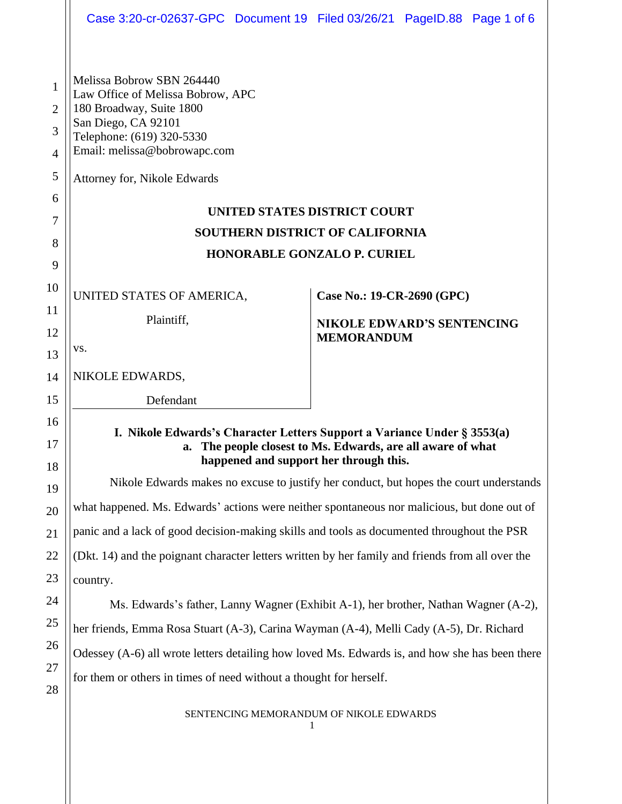|                | Case 3:20-cr-02637-GPC Document 19 Filed 03/26/21 PageID.88 Page 1 of 6                                                                                                              |                   |                                   |  |  |
|----------------|--------------------------------------------------------------------------------------------------------------------------------------------------------------------------------------|-------------------|-----------------------------------|--|--|
|                |                                                                                                                                                                                      |                   |                                   |  |  |
| 1              | Melissa Bobrow SBN 264440<br>Law Office of Melissa Bobrow, APC<br>180 Broadway, Suite 1800<br>San Diego, CA 92101<br>Telephone: (619) 320-5330                                       |                   |                                   |  |  |
| $\overline{2}$ |                                                                                                                                                                                      |                   |                                   |  |  |
| 3              |                                                                                                                                                                                      |                   |                                   |  |  |
| $\overline{4}$ | Email: melissa@bobrowapc.com                                                                                                                                                         |                   |                                   |  |  |
| 5              | Attorney for, Nikole Edwards                                                                                                                                                         |                   |                                   |  |  |
| 6              | UNITED STATES DISTRICT COURT<br><b>SOUTHERN DISTRICT OF CALIFORNIA</b><br><b>HONORABLE GONZALO P. CURIEL</b>                                                                         |                   |                                   |  |  |
| 7              |                                                                                                                                                                                      |                   |                                   |  |  |
| 8              |                                                                                                                                                                                      |                   |                                   |  |  |
| 9<br>10        |                                                                                                                                                                                      |                   |                                   |  |  |
| 11             | UNITED STATES OF AMERICA,                                                                                                                                                            |                   | Case No.: 19-CR-2690 (GPC)        |  |  |
| 12             | Plaintiff,                                                                                                                                                                           |                   | <b>NIKOLE EDWARD'S SENTENCING</b> |  |  |
| 13             | VS.                                                                                                                                                                                  | <b>MEMORANDUM</b> |                                   |  |  |
| 14             | NIKOLE EDWARDS,                                                                                                                                                                      |                   |                                   |  |  |
| 15             | Defendant                                                                                                                                                                            |                   |                                   |  |  |
| 16             |                                                                                                                                                                                      |                   |                                   |  |  |
| 17             | I. Nikole Edwards's Character Letters Support a Variance Under § 3553(a)<br>The people closest to Ms. Edwards, are all aware of what<br>a.<br>happened and support her through this. |                   |                                   |  |  |
| 18             | Nikole Edwards makes no excuse to justify her conduct, but hopes the court understands                                                                                               |                   |                                   |  |  |
| 19             | what happened. Ms. Edwards' actions were neither spontaneous nor malicious, but done out of                                                                                          |                   |                                   |  |  |
| 20             | panic and a lack of good decision-making skills and tools as documented throughout the PSR                                                                                           |                   |                                   |  |  |
| 21             |                                                                                                                                                                                      |                   |                                   |  |  |
| 22             | (Dkt. 14) and the poignant character letters written by her family and friends from all over the                                                                                     |                   |                                   |  |  |
| 23             | country.                                                                                                                                                                             |                   |                                   |  |  |
| 24<br>25       | Ms. Edwards's father, Lanny Wagner (Exhibit A-1), her brother, Nathan Wagner (A-2),                                                                                                  |                   |                                   |  |  |
| 26             | her friends, Emma Rosa Stuart (A-3), Carina Wayman (A-4), Melli Cady (A-5), Dr. Richard                                                                                              |                   |                                   |  |  |
| 27             | Odessey (A-6) all wrote letters detailing how loved Ms. Edwards is, and how she has been there                                                                                       |                   |                                   |  |  |
| 28             | for them or others in times of need without a thought for herself.                                                                                                                   |                   |                                   |  |  |
|                | SENTENCING MEMORANDUM OF NIKOLE EDWARDS                                                                                                                                              |                   |                                   |  |  |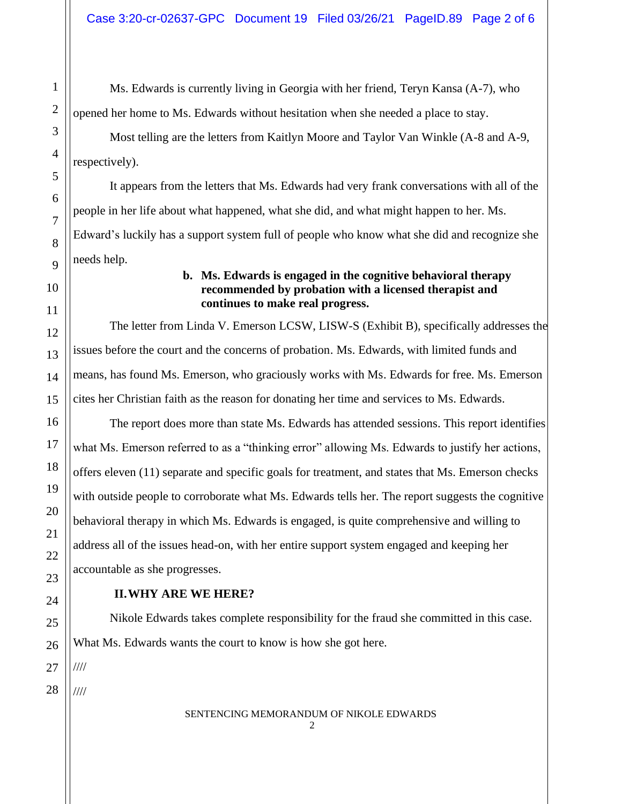Ms. Edwards is currently living in Georgia with her friend, Teryn Kansa (A-7), who opened her home to Ms. Edwards without hesitation when she needed a place to stay.

Most telling are the letters from Kaitlyn Moore and Taylor Van Winkle (A-8 and A-9, respectively).

It appears from the letters that Ms. Edwards had very frank conversations with all of the people in her life about what happened, what she did, and what might happen to her. Ms. Edward's luckily has a support system full of people who know what she did and recognize she needs help.

# **b. Ms. Edwards is engaged in the cognitive behavioral therapy recommended by probation with a licensed therapist and continues to make real progress.**

The letter from Linda V. Emerson LCSW, LISW-S (Exhibit B), specifically addresses the issues before the court and the concerns of probation. Ms. Edwards, with limited funds and means, has found Ms. Emerson, who graciously works with Ms. Edwards for free. Ms. Emerson cites her Christian faith as the reason for donating her time and services to Ms. Edwards.

The report does more than state Ms. Edwards has attended sessions. This report identifies what Ms. Emerson referred to as a "thinking error" allowing Ms. Edwards to justify her actions, offers eleven (11) separate and specific goals for treatment, and states that Ms. Emerson checks with outside people to corroborate what Ms. Edwards tells her. The report suggests the cognitive behavioral therapy in which Ms. Edwards is engaged, is quite comprehensive and willing to address all of the issues head-on, with her entire support system engaged and keeping her accountable as she progresses.

# **II.WHY ARE WE HERE?**

Nikole Edwards takes complete responsibility for the fraud she committed in this case. What Ms. Edwards wants the court to know is how she got here.

////

////

#### SENTENCING MEMORANDUM OF NIKOLE EDWARDS  $\mathcal{D}$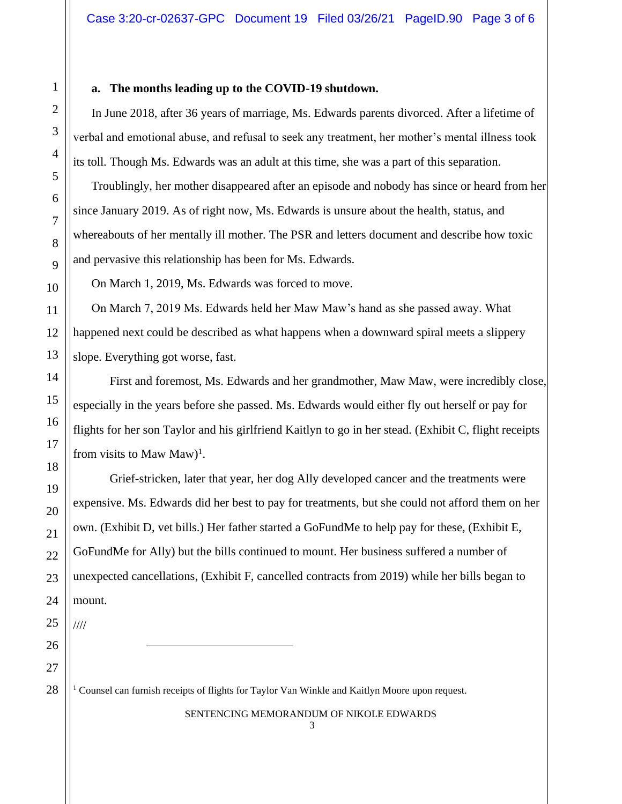### **a. The months leading up to the COVID-19 shutdown.**

In June 2018, after 36 years of marriage, Ms. Edwards parents divorced. After a lifetime of verbal and emotional abuse, and refusal to seek any treatment, her mother's mental illness took its toll. Though Ms. Edwards was an adult at this time, she was a part of this separation.

Troublingly, her mother disappeared after an episode and nobody has since or heard from her since January 2019. As of right now, Ms. Edwards is unsure about the health, status, and whereabouts of her mentally ill mother. The PSR and letters document and describe how toxic and pervasive this relationship has been for Ms. Edwards.

On March 1, 2019, Ms. Edwards was forced to move.

On March 7, 2019 Ms. Edwards held her Maw Maw's hand as she passed away. What happened next could be described as what happens when a downward spiral meets a slippery slope. Everything got worse, fast.

First and foremost, Ms. Edwards and her grandmother, Maw Maw, were incredibly close, especially in the years before she passed. Ms. Edwards would either fly out herself or pay for flights for her son Taylor and his girlfriend Kaitlyn to go in her stead. (Exhibit C, flight receipts from visits to Maw Maw)<sup>1</sup>.

Grief-stricken, later that year, her dog Ally developed cancer and the treatments were expensive. Ms. Edwards did her best to pay for treatments, but she could not afford them on her own. (Exhibit D, vet bills.) Her father started a GoFundMe to help pay for these, (Exhibit E, GoFundMe for Ally) but the bills continued to mount. Her business suffered a number of unexpected cancellations, (Exhibit F, cancelled contracts from 2019) while her bills began to mount.

////

<sup>1</sup> Counsel can furnish receipts of flights for Taylor Van Winkle and Kaitlyn Moore upon request.

SENTENCING MEMORANDUM OF NIKOLE EDWARDS 3

1

2

3

4

5

6

7

8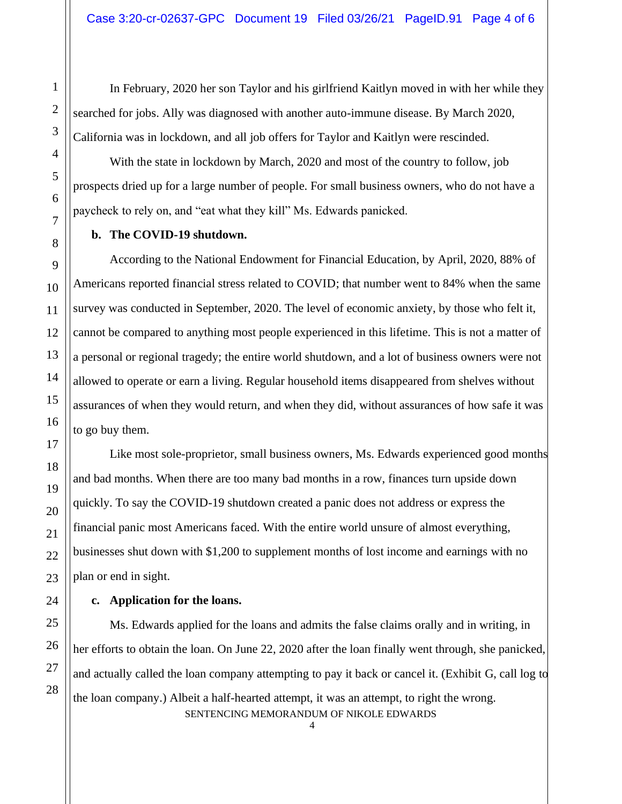In February, 2020 her son Taylor and his girlfriend Kaitlyn moved in with her while they searched for jobs. Ally was diagnosed with another auto-immune disease. By March 2020, California was in lockdown, and all job offers for Taylor and Kaitlyn were rescinded.

With the state in lockdown by March, 2020 and most of the country to follow, job prospects dried up for a large number of people. For small business owners, who do not have a paycheck to rely on, and "eat what they kill" Ms. Edwards panicked.

### **b. The COVID-19 shutdown.**

According to the National Endowment for Financial Education, by April, 2020, 88% of Americans reported financial stress related to COVID; that number went to 84% when the same survey was conducted in September, 2020. The level of economic anxiety, by those who felt it, cannot be compared to anything most people experienced in this lifetime. This is not a matter of a personal or regional tragedy; the entire world shutdown, and a lot of business owners were not allowed to operate or earn a living. Regular household items disappeared from shelves without assurances of when they would return, and when they did, without assurances of how safe it was to go buy them.

Like most sole-proprietor, small business owners, Ms. Edwards experienced good months and bad months. When there are too many bad months in a row, finances turn upside down quickly. To say the COVID-19 shutdown created a panic does not address or express the financial panic most Americans faced. With the entire world unsure of almost everything, businesses shut down with \$1,200 to supplement months of lost income and earnings with no plan or end in sight.

# **c. Application for the loans.**

SENTENCING MEMORANDUM OF NIKOLE EDWARDS Ms. Edwards applied for the loans and admits the false claims orally and in writing, in her efforts to obtain the loan. On June 22, 2020 after the loan finally went through, she panicked, and actually called the loan company attempting to pay it back or cancel it. (Exhibit G, call log to the loan company.) Albeit a half-hearted attempt, it was an attempt, to right the wrong.

4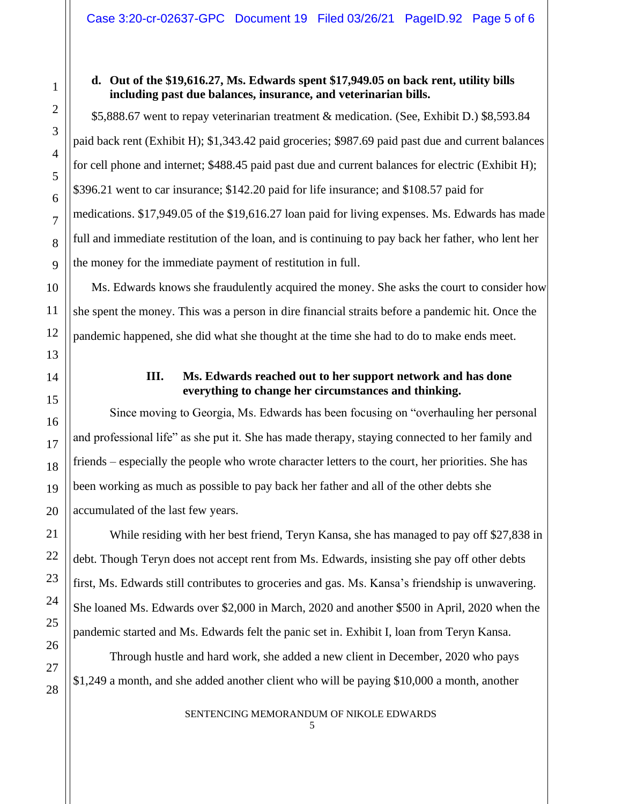## **d. Out of the \$19,616.27, Ms. Edwards spent \$17,949.05 on back rent, utility bills including past due balances, insurance, and veterinarian bills.**

\$5,888.67 went to repay veterinarian treatment & medication. (See, Exhibit D.) \$8,593.84 paid back rent (Exhibit H); \$1,343.42 paid groceries; \$987.69 paid past due and current balances for cell phone and internet; \$488.45 paid past due and current balances for electric (Exhibit H); \$396.21 went to car insurance; \$142.20 paid for life insurance; and \$108.57 paid for medications. \$17,949.05 of the \$19,616.27 loan paid for living expenses. Ms. Edwards has made full and immediate restitution of the loan, and is continuing to pay back her father, who lent her the money for the immediate payment of restitution in full.

Ms. Edwards knows she fraudulently acquired the money. She asks the court to consider how she spent the money. This was a person in dire financial straits before a pandemic hit. Once the pandemic happened, she did what she thought at the time she had to do to make ends meet.

# **III. Ms. Edwards reached out to her support network and has done everything to change her circumstances and thinking.**

Since moving to Georgia, Ms. Edwards has been focusing on "overhauling her personal and professional life" as she put it. She has made therapy, staying connected to her family and friends – especially the people who wrote character letters to the court, her priorities. She has been working as much as possible to pay back her father and all of the other debts she accumulated of the last few years.

While residing with her best friend, Teryn Kansa, she has managed to pay off \$27,838 in debt. Though Teryn does not accept rent from Ms. Edwards, insisting she pay off other debts first, Ms. Edwards still contributes to groceries and gas. Ms. Kansa's friendship is unwavering. She loaned Ms. Edwards over \$2,000 in March, 2020 and another \$500 in April, 2020 when the pandemic started and Ms. Edwards felt the panic set in. Exhibit I, loan from Teryn Kansa.

Through hustle and hard work, she added a new client in December, 2020 who pays \$1,249 a month, and she added another client who will be paying \$10,000 a month, another

> SENTENCING MEMORANDUM OF NIKOLE EDWARDS 5